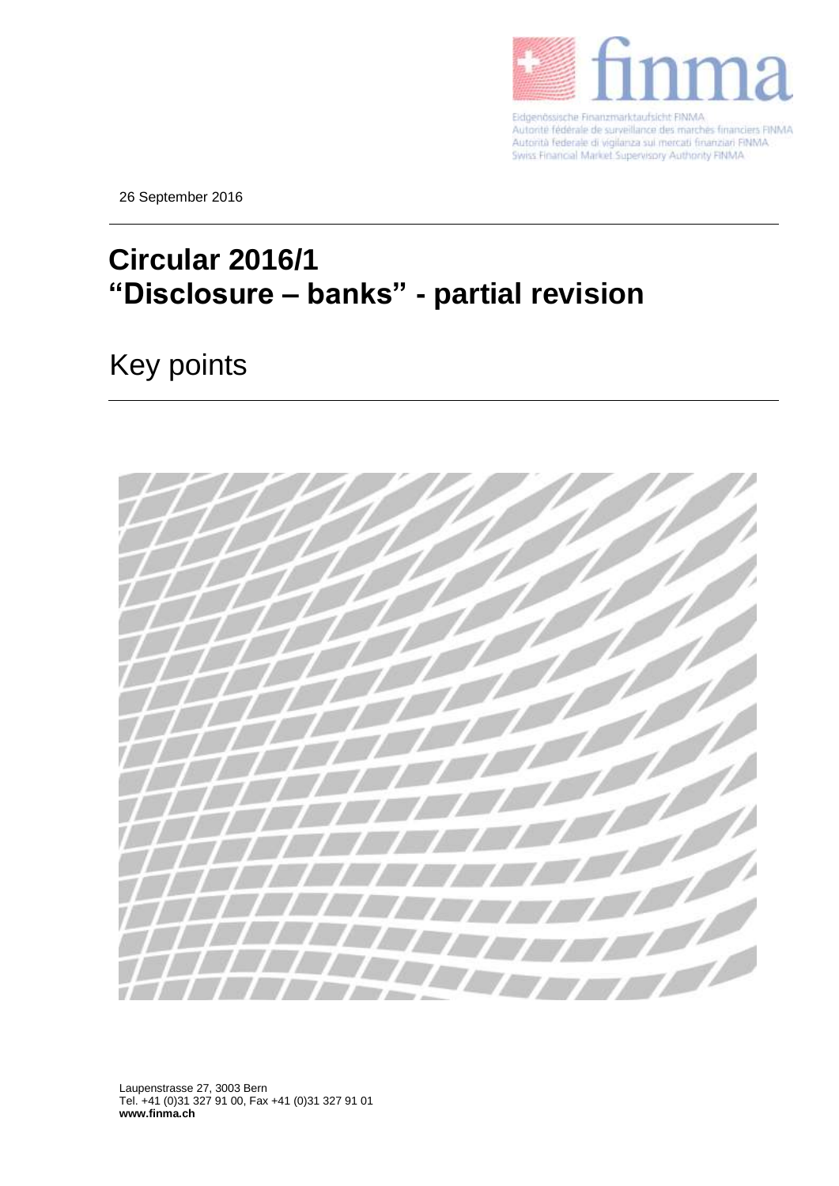

Eidgenössische Finanzmarktaufsicht FINMA Autorité fédérale de surveillance des marchés financiers FINMA Autorità federale di vigilanza sul mercati finanziari FINMA.<br>Swiss Financial Market Supervisory Authority FINMA

26 September 2016

## **Circular 2016/1 "Disclosure – banks" - partial revision**

## Key points



Laupenstrasse 27, 3003 Bern Tel. +41 (0)31 327 91 00, Fax +41 (0)31 327 91 01 **www.finma.ch**